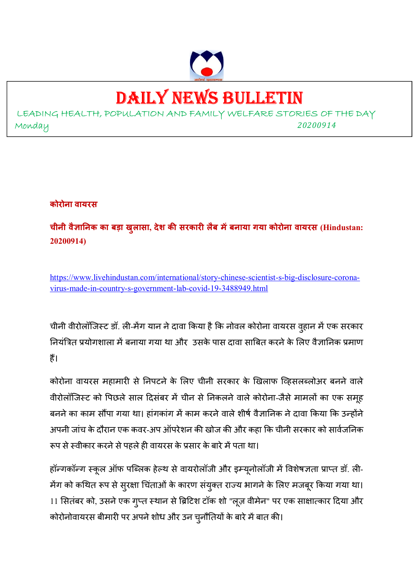

# DAILY NEWS BULLETIN

LEADING HEALTH, POPULATION AND FAMILY WELFARE STORIES OF THE DAY Monday *<sup>20200914</sup>*

**कोरोना वायरस**

**चीनी वैा
नक का बड़ा खुलासा, देश क सरकार लैब मबनाया गया कोरोना वायरस (Hindustan: 20200914)** 

https://www.livehindustan.com/international/story-chinese-scientist-s-big-disclosure-coronavirus-made-in-country-s-government-lab-covid-19-3488949.html

चीनी वीरोलॉजिस्ट डॉ. ली-मेंग यान ने दावा किया है कि नोवल कोरोना वायरस व्हान में एक सरकार नियंत्रित प्रयोगशाला में बनाया गया था और उसके पास दावा साबित करने के लिए वैज्ञानिक प्रमाण हैं।

कोरोना वायरस महामारी से निपटने के लिए चीनी सरकार के खिलाफ व्हिसलब्लोअर बनने वाले वीरोलॉजिस्ट को पिछले साल दिसंबर में चीन से निकलने वाले कोरोना-जैसे मामलों का एक समूह बनने का काम सौंपा गया था। हांगकांग में काम करने वाले शीर्ष वैज्ञानिक ने दावा किया कि उन्होंने अपनी जांच के दौरान एक कवर-अप ऑपरेशन की खोज की और कहा कि चीनी सरकार को सार्वजनिक रूप से स्वीकार करने से पहले ही वायरस के प्रसार के बारे में पता था।

हॉन्गकॉन्ग स्कूल ऑफ पब्लिक हेल्थ से वायरोलॉजी और इम्यूनोलॉजी में विशेषज्ञता प्राप्त डॉ. ली-मेंग को कथित रूप से सुरक्षा चिंताओं के कारण संयुक्त राज्य भागने के लिए मजबूर किया गया था। 11 सितंबर को, उसने एक गुप्त स्थान से ब्रिटिश टॉक शो "लूज़ वीमेन" पर एक साक्षात्कार दिया और कोरोनोवायरस बीमारी पर अपने शोध और उन चुनौतियों के बारे में बात की।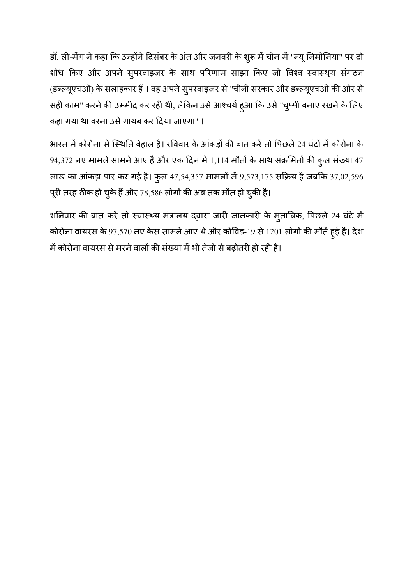डॉ. ली-मेंग ने कहा कि उन्होंने दिसंबर के अंत और जनवरी के शुरू में चीन में "न्यू निमोनिया" पर दो शोध किए और अपने सुपरवाइजर के साथ परिणाम साझा किए जो विश्व स्वास्थ्य संगठन (डब्ल्यूएचओ) के सलाहकार हैं । वह अपने सुपरवाइजर से "चीनी सरकार और डब्ल्यूएचओ की ओर से सही काम" करने की उम्मीद कर रही थी, लेकिन उसे आश्चर्य हुआ कि उसे "चुप्पी बनाए रखने के लिए कहा गया था वरना उसे गायब कर दिया जाएगा" ।

भारत में कोरोना से स्थिति बेहाल है। रविवार के आंकड़ों की बात करें तो पिछले 24 घंटों में कोरोना के  $94,372$  नए मामले सामने आए हैं और एक दिन में 1,114 मौतों के साथ संक्रमितों की कुल संख्या 47 लाख का आंकड़ा पार कर गई है। कुल 47,54,357 मामलों में 9,573,175 सक्रिय है जबकि 37,02,596 पूरी तरह ठीक हो चुके हैं और 78,586 लोगों की अब तक मौत हो चुकी है।

शनिवार की बात करें तो स्वास्थ्य मंत्रालय द्वारा जारी जानकारी के मुताबिक, पिछले 24 घंटे में कोरोना वायरस के 97,570 नए केस सामने आए थे और कोविड-19 से 1201 लोगों की मौतें हुई हैं। देश में कोरोना वायरस से मरने वालों की संख्या में भी तेजी से बढ़ोतरी हो रही है।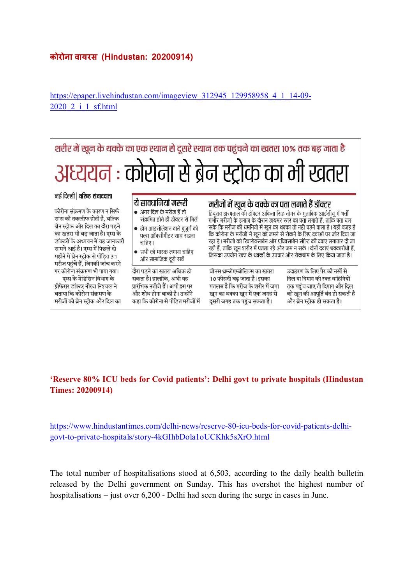#### **कोरोना वायरस (Hindustan: 20200914)**

https://epaper.livehindustan.com/imageview\_312945\_129958958\_4\_1\_14-09-2020\_2\_i\_1\_sf.html



#### **'Reserve 80% ICU beds for Covid patients': Delhi govt to private hospitals (Hindustan Times: 20200914)**

https://www.hindustantimes.com/delhi-news/reserve-80-icu-beds-for-covid-patients-delhigovt-to-private-hospitals/story-4kGIhbDola1oUCKhk5sXrO.html

The total number of hospitalisations stood at 6,503, according to the daily health bulletin released by the Delhi government on Sunday. This has overshot the highest number of hospitalisations – just over 6,200 - Delhi had seen during the surge in cases in June.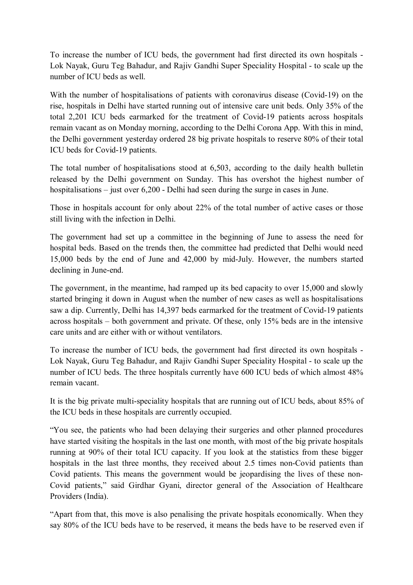To increase the number of ICU beds, the government had first directed its own hospitals - Lok Nayak, Guru Teg Bahadur, and Rajiv Gandhi Super Speciality Hospital - to scale up the number of ICU beds as well.

With the number of hospitalisations of patients with coronavirus disease (Covid-19) on the rise, hospitals in Delhi have started running out of intensive care unit beds. Only 35% of the total 2,201 ICU beds earmarked for the treatment of Covid-19 patients across hospitals remain vacant as on Monday morning, according to the Delhi Corona App. With this in mind, the Delhi government yesterday ordered 28 big private hospitals to reserve 80% of their total ICU beds for Covid-19 patients.

The total number of hospitalisations stood at 6,503, according to the daily health bulletin released by the Delhi government on Sunday. This has overshot the highest number of hospitalisations – just over 6,200 - Delhi had seen during the surge in cases in June.

Those in hospitals account for only about 22% of the total number of active cases or those still living with the infection in Delhi.

The government had set up a committee in the beginning of June to assess the need for hospital beds. Based on the trends then, the committee had predicted that Delhi would need 15,000 beds by the end of June and 42,000 by mid-July. However, the numbers started declining in June-end.

The government, in the meantime, had ramped up its bed capacity to over 15,000 and slowly started bringing it down in August when the number of new cases as well as hospitalisations saw a dip. Currently, Delhi has 14,397 beds earmarked for the treatment of Covid-19 patients across hospitals – both government and private. Of these, only 15% beds are in the intensive care units and are either with or without ventilators.

To increase the number of ICU beds, the government had first directed its own hospitals - Lok Nayak, Guru Teg Bahadur, and Rajiv Gandhi Super Speciality Hospital - to scale up the number of ICU beds. The three hospitals currently have 600 ICU beds of which almost 48% remain vacant.

It is the big private multi-speciality hospitals that are running out of ICU beds, about 85% of the ICU beds in these hospitals are currently occupied.

"You see, the patients who had been delaying their surgeries and other planned procedures have started visiting the hospitals in the last one month, with most of the big private hospitals running at 90% of their total ICU capacity. If you look at the statistics from these bigger hospitals in the last three months, they received about 2.5 times non-Covid patients than Covid patients. This means the government would be jeopardising the lives of these non-Covid patients," said Girdhar Gyani, director general of the Association of Healthcare Providers (India).

"Apart from that, this move is also penalising the private hospitals economically. When they say 80% of the ICU beds have to be reserved, it means the beds have to be reserved even if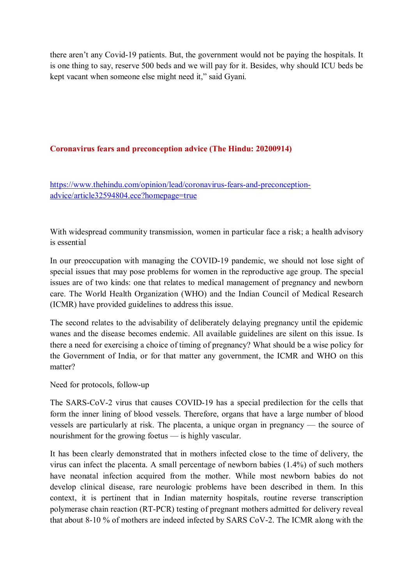there aren't any Covid-19 patients. But, the government would not be paying the hospitals. It is one thing to say, reserve 500 beds and we will pay for it. Besides, why should ICU beds be kept vacant when someone else might need it," said Gyani.

#### **Coronavirus fears and preconception advice (The Hindu: 20200914)**

https://www.thehindu.com/opinion/lead/coronavirus-fears-and-preconceptionadvice/article32594804.ece?homepage=true

With widespread community transmission, women in particular face a risk; a health advisory is essential

In our preoccupation with managing the COVID-19 pandemic, we should not lose sight of special issues that may pose problems for women in the reproductive age group. The special issues are of two kinds: one that relates to medical management of pregnancy and newborn care. The World Health Organization (WHO) and the Indian Council of Medical Research (ICMR) have provided guidelines to address this issue.

The second relates to the advisability of deliberately delaying pregnancy until the epidemic wanes and the disease becomes endemic. All available guidelines are silent on this issue. Is there a need for exercising a choice of timing of pregnancy? What should be a wise policy for the Government of India, or for that matter any government, the ICMR and WHO on this matter?

Need for protocols, follow-up

The SARS-CoV-2 virus that causes COVID-19 has a special predilection for the cells that form the inner lining of blood vessels. Therefore, organs that have a large number of blood vessels are particularly at risk. The placenta, a unique organ in pregnancy — the source of nourishment for the growing foetus — is highly vascular.

It has been clearly demonstrated that in mothers infected close to the time of delivery, the virus can infect the placenta. A small percentage of newborn babies (1.4%) of such mothers have neonatal infection acquired from the mother. While most newborn babies do not develop clinical disease, rare neurologic problems have been described in them. In this context, it is pertinent that in Indian maternity hospitals, routine reverse transcription polymerase chain reaction (RT-PCR) testing of pregnant mothers admitted for delivery reveal that about 8-10 % of mothers are indeed infected by SARS CoV-2. The ICMR along with the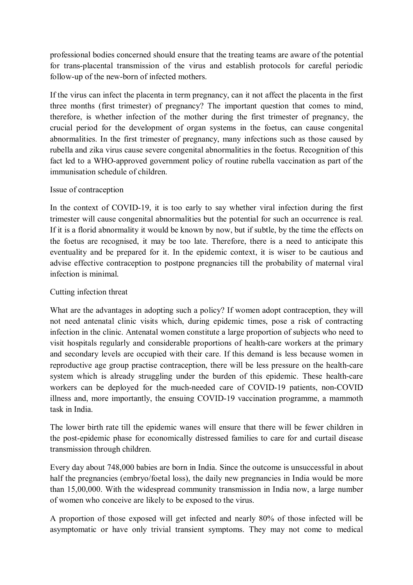professional bodies concerned should ensure that the treating teams are aware of the potential for trans-placental transmission of the virus and establish protocols for careful periodic follow-up of the new-born of infected mothers.

If the virus can infect the placenta in term pregnancy, can it not affect the placenta in the first three months (first trimester) of pregnancy? The important question that comes to mind, therefore, is whether infection of the mother during the first trimester of pregnancy, the crucial period for the development of organ systems in the foetus, can cause congenital abnormalities. In the first trimester of pregnancy, many infections such as those caused by rubella and zika virus cause severe congenital abnormalities in the foetus. Recognition of this fact led to a WHO-approved government policy of routine rubella vaccination as part of the immunisation schedule of children.

#### Issue of contraception

In the context of COVID-19, it is too early to say whether viral infection during the first trimester will cause congenital abnormalities but the potential for such an occurrence is real. If it is a florid abnormality it would be known by now, but if subtle, by the time the effects on the foetus are recognised, it may be too late. Therefore, there is a need to anticipate this eventuality and be prepared for it. In the epidemic context, it is wiser to be cautious and advise effective contraception to postpone pregnancies till the probability of maternal viral infection is minimal.

#### Cutting infection threat

What are the advantages in adopting such a policy? If women adopt contraception, they will not need antenatal clinic visits which, during epidemic times, pose a risk of contracting infection in the clinic. Antenatal women constitute a large proportion of subjects who need to visit hospitals regularly and considerable proportions of health-care workers at the primary and secondary levels are occupied with their care. If this demand is less because women in reproductive age group practise contraception, there will be less pressure on the health-care system which is already struggling under the burden of this epidemic. These health-care workers can be deployed for the much-needed care of COVID-19 patients, non-COVID illness and, more importantly, the ensuing COVID-19 vaccination programme, a mammoth task in India.

The lower birth rate till the epidemic wanes will ensure that there will be fewer children in the post-epidemic phase for economically distressed families to care for and curtail disease transmission through children.

Every day about 748,000 babies are born in India. Since the outcome is unsuccessful in about half the pregnancies (embryo/foetal loss), the daily new pregnancies in India would be more than 15,00,000. With the widespread community transmission in India now, a large number of women who conceive are likely to be exposed to the virus.

A proportion of those exposed will get infected and nearly 80% of those infected will be asymptomatic or have only trivial transient symptoms. They may not come to medical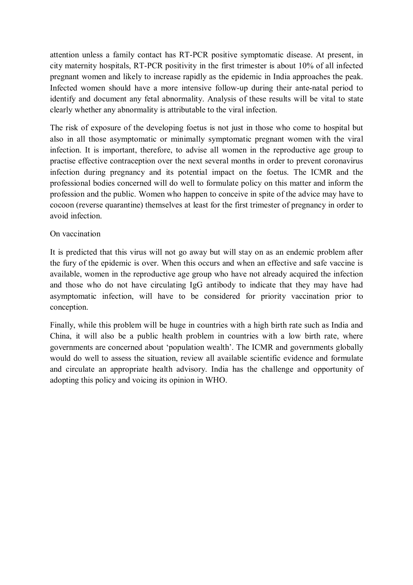attention unless a family contact has RT-PCR positive symptomatic disease. At present, in city maternity hospitals, RT-PCR positivity in the first trimester is about 10% of all infected pregnant women and likely to increase rapidly as the epidemic in India approaches the peak. Infected women should have a more intensive follow-up during their ante-natal period to identify and document any fetal abnormality. Analysis of these results will be vital to state clearly whether any abnormality is attributable to the viral infection.

The risk of exposure of the developing foetus is not just in those who come to hospital but also in all those asymptomatic or minimally symptomatic pregnant women with the viral infection. It is important, therefore, to advise all women in the reproductive age group to practise effective contraception over the next several months in order to prevent coronavirus infection during pregnancy and its potential impact on the foetus. The ICMR and the professional bodies concerned will do well to formulate policy on this matter and inform the profession and the public. Women who happen to conceive in spite of the advice may have to cocoon (reverse quarantine) themselves at least for the first trimester of pregnancy in order to avoid infection.

#### On vaccination

It is predicted that this virus will not go away but will stay on as an endemic problem after the fury of the epidemic is over. When this occurs and when an effective and safe vaccine is available, women in the reproductive age group who have not already acquired the infection and those who do not have circulating IgG antibody to indicate that they may have had asymptomatic infection, will have to be considered for priority vaccination prior to conception.

Finally, while this problem will be huge in countries with a high birth rate such as India and China, it will also be a public health problem in countries with a low birth rate, where governments are concerned about 'population wealth'. The ICMR and governments globally would do well to assess the situation, review all available scientific evidence and formulate and circulate an appropriate health advisory. India has the challenge and opportunity of adopting this policy and voicing its opinion in WHO.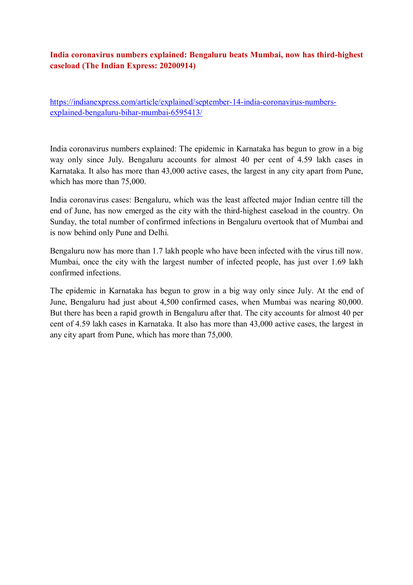#### **India coronavirus numbers explained: Bengaluru beats Mumbai, now has third-highest caseload (The Indian Express: 20200914)**

https://indianexpress.com/article/explained/september-14-india-coronavirus-numbersexplained-bengaluru-bihar-mumbai-6595413/

India coronavirus numbers explained: The epidemic in Karnataka has begun to grow in a big way only since July. Bengaluru accounts for almost 40 per cent of 4.59 lakh cases in Karnataka. It also has more than 43,000 active cases, the largest in any city apart from Pune, which has more than 75,000.

India coronavirus cases: Bengaluru, which was the least affected major Indian centre till the end of June, has now emerged as the city with the third-highest caseload in the country. On Sunday, the total number of confirmed infections in Bengaluru overtook that of Mumbai and is now behind only Pune and Delhi.

Bengaluru now has more than 1.7 lakh people who have been infected with the virus till now. Mumbai, once the city with the largest number of infected people, has just over 1.69 lakh confirmed infections.

The epidemic in Karnataka has begun to grow in a big way only since July. At the end of June, Bengaluru had just about 4,500 confirmed cases, when Mumbai was nearing 80,000. But there has been a rapid growth in Bengaluru after that. The city accounts for almost 40 per cent of 4.59 lakh cases in Karnataka. It also has more than 43,000 active cases, the largest in any city apart from Pune, which has more than 75,000.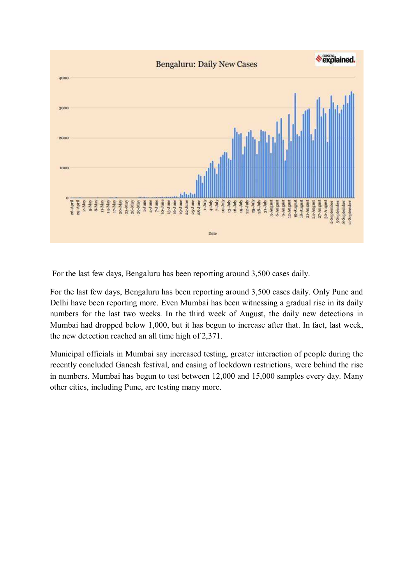

For the last few days, Bengaluru has been reporting around 3,500 cases daily.

For the last few days, Bengaluru has been reporting around 3,500 cases daily. Only Pune and Delhi have been reporting more. Even Mumbai has been witnessing a gradual rise in its daily numbers for the last two weeks. In the third week of August, the daily new detections in Mumbai had dropped below 1,000, but it has begun to increase after that. In fact, last week, the new detection reached an all time high of 2,371.

Municipal officials in Mumbai say increased testing, greater interaction of people during the recently concluded Ganesh festival, and easing of lockdown restrictions, were behind the rise in numbers. Mumbai has begun to test between 12,000 and 15,000 samples every day. Many other cities, including Pune, are testing many more.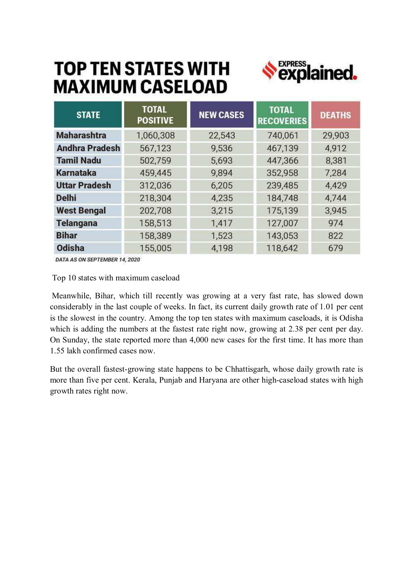## **TOP TEN STATES WITH MAXIMUM CASELOAD**



| <b>STATE</b>          | <b>TOTAL</b><br><b>POSITIVE</b> | <b>NEW CASES</b> | <b>TOTAL</b><br><b>RECOVERIES</b> | <b>DEATHS</b> |
|-----------------------|---------------------------------|------------------|-----------------------------------|---------------|
| <b>Maharashtra</b>    | 1,060,308                       | 22,543           | 740,061                           | 29,903        |
| <b>Andhra Pradesh</b> | 567,123                         | 9,536            | 467,139                           | 4,912         |
| <b>Tamil Nadu</b>     | 502,759                         | 5,693            | 447,366                           | 8,381         |
| <b>Karnataka</b>      | 459,445                         | 9,894            | 352,958                           | 7,284         |
| <b>Uttar Pradesh</b>  | 312,036                         | 6,205            | 239,485                           | 4,429         |
| <b>Delhi</b>          | 218,304                         | 4,235            | 184,748                           | 4,744         |
| <b>West Bengal</b>    | 202,708                         | 3,215            | 175,139                           | 3,945         |
| <b>Telangana</b>      | 158,513                         | 1,417            | 127,007                           | 974           |
| <b>Bihar</b>          | 158,389                         | 1,523            | 143,053                           | 822           |
| Odisha                | 155,005                         | 4,198            | 118,642                           | 679           |

DATA AS ON SEPTEMBER 14, 2020

Top 10 states with maximum caseload

 Meanwhile, Bihar, which till recently was growing at a very fast rate, has slowed down considerably in the last couple of weeks. In fact, its current daily growth rate of 1.01 per cent is the slowest in the country. Among the top ten states with maximum caseloads, it is Odisha which is adding the numbers at the fastest rate right now, growing at 2.38 per cent per day. On Sunday, the state reported more than 4,000 new cases for the first time. It has more than 1.55 lakh confirmed cases now.

But the overall fastest-growing state happens to be Chhattisgarh, whose daily growth rate is more than five per cent. Kerala, Punjab and Haryana are other high-caseload states with high growth rates right now.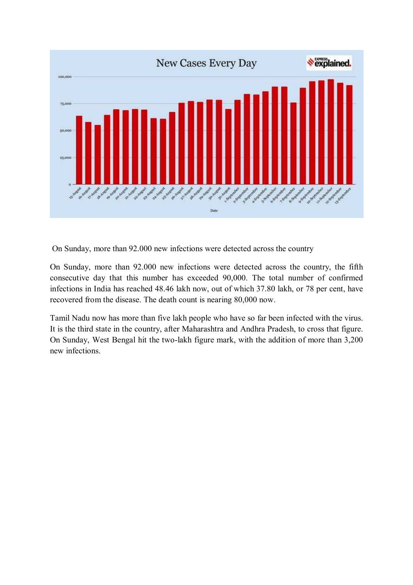

On Sunday, more than 92.000 new infections were detected across the country

On Sunday, more than 92.000 new infections were detected across the country, the fifth consecutive day that this number has exceeded 90,000. The total number of confirmed infections in India has reached 48.46 lakh now, out of which 37.80 lakh, or 78 per cent, have recovered from the disease. The death count is nearing 80,000 now.

Tamil Nadu now has more than five lakh people who have so far been infected with the virus. It is the third state in the country, after Maharashtra and Andhra Pradesh, to cross that figure. On Sunday, West Bengal hit the two-lakh figure mark, with the addition of more than 3,200 new infections.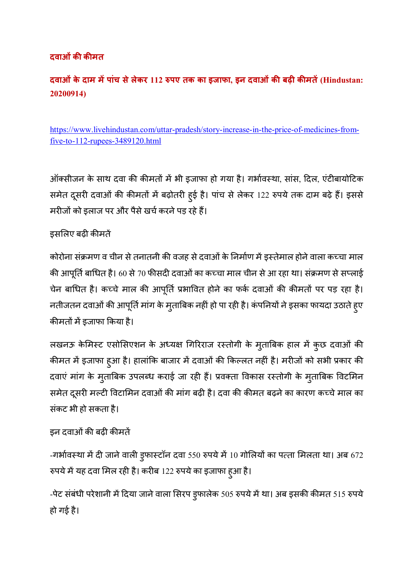## **दवाओंक कमत**

## **दवाओंके दाम मपांच सेलेकर 112 0पए तक का इजाफा, इन दवाओंक बढ़ कमत (Hindustan: 20200914)**

https://www.livehindustan.com/uttar-pradesh/story-increase-in-the-price-of-medicines-fromfive-to-112-rupees-3489120.html

ऑक्सीजन के साथ दवा की कीमतों में भी इजाफा हो गया है। गर्भावस्था, सांस, दिल, एंटीबायोटिक समेत दूसरी दवाओं की कीमतों में बढ़ोतरी हुई है। पांच से लेकर 122 रुपये तक दाम बढ़े हैं। इससे मरीजों को इलाज पर और पैसे खर्च करने पड़ रहे हैं।

## इसलिए बढ़ी कीमतें

कोरोना संक्रमण व चीन से तनातनी की वजह से दवाओं के निर्माण में इस्तेमाल होने वाला कच्चा माल की आपूर्ति बाधित है। 60 से 70 फीसदी दवाओं का कच्चा माल चीन से आ रहा था। संक्रमण से सप्लाई चेन बाधित है। कच्चे माल की आपूर्ति प्रभावित होने का फर्क दवाओं की कीमतों पर पड़ रहा है। नतीजतन दवाओं की आपूर्ति मांग के मुताबिक नहीं हो पा रही है। कंपनियों ने इसका फायदा उठाते हुए कीमतों में इजाफा किया है।

लखनऊ केमिस्ट एसोसिएशन के अध्यक्ष गिरिराज रस्तोगी के मुताबिक हाल में कुछ दवाओं की कीमत में इजाफा हुआ है। हालांकि बाजार में दवाओं की किल्लत नहीं है। मरीजों को सभी प्रकार की दवाएं मांग के मुताबिक उपलब्ध कराई जा रही हैं। प्रवक्ता विकास रस्तोगी के मुताबिक विटमिन समेत दूसरी मल्टी विटामिन दवाओं की मांग बढ़ी है। दवा की कीमत बढ़ने का कारण कच्चे माल का संकट भी हो सकता है।

## इन दवाओं की बढ़ी कीमतें

-गर्भावस्था में दी जाने वाली डुफास्टॉन दवा 550 रुपये में 10 गोलियों का पत्ता मिलता था। अब 672 रुपये में यह दवा मिल रही है। करीब 122 रुपये का इजाफा हुआ है।

-पेट संबंधी परेशानी में दिया जाने वाला सिरप डुफालेक 505 रुपये में था। अब इसकी कीमत 515 रुपये हो गई है।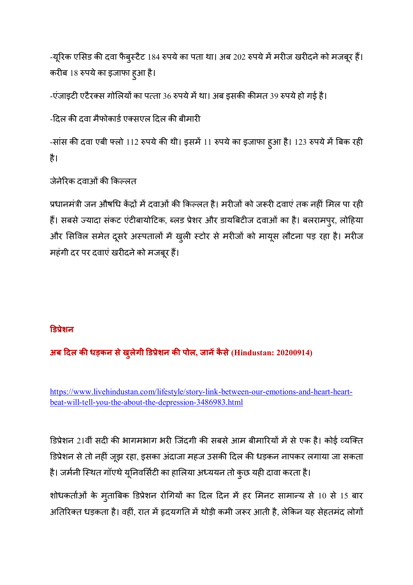-यूरिक एसिड की दवा फैबुस्टैट 184 रुपये का पता था। अब 202 रुपये में मरीज खरीदने को मजबूर हैं। करीब 18 रुपये का इजाफा हुआ है।

-एंजाइटी एटैरक्स गोलियों का पत्ता 36 रुपये में था। अब इसकी कीमत 39 रुपये हो गई है।

-दिल की दवा मैफोकार्ड एक्सएल दिल की बीमारी

-सांस की दवा एबी फ्लो 112 रुपये की थी। इसमें 11 रुपये का इजाफा हुआ है। 123 रुपये में बिक रही है।

जेनेरिक दवाओं की किल्लत

प्रधानमंत्री जन औषधि केंद्रों में दवाओं की किल्लत है। मरीजों को जरूरी दवाएं तक नहीं मिल पा रही हैं। सबसे ज्यादा संकट एंटीबायोटिक, ब्लड प्रेशर और डायबिटीज दवाओं का है। बलरामपुर, लोहिया और सिविल समेत दूसरे अस्पतालों में खुली स्टोर से मरीजों को मायूस लौटना पड़ रहा है। मरीज महंगी दर पर दवाएं खरीदने को मजबूर हैं।

#### **6ड8ेशन**

**अब :दल क धड़कन सेखुलेगी 6ड8ेशन क पोल, जानकै से (Hindustan: 20200914)** 

https://www.livehindustan.com/lifestyle/story-link-between-our-emotions-and-heart-heartbeat-will-tell-you-the-about-the-depression-3486983.html

डिप्रेशन 21वीं सदी की भागमभाग भरी जिंदगी की सबसे आम बीमारियों में से एक है। कोई व्यक्ति डिप्रेशन से तो नहीं जूझ रहा, इसका अंदाजा महज उसकी दिल की धड़कन नापकर लगाया जा सकता है। जर्मनी स्थित गॉएथे यूनिवर्सिटी का हालिया अध्ययन तो कुछ यही दावा करता है।

शोधकर्ताओं के मुताबिक डिप्रेशन रोगियों का दिल दिन में हर मिनट सामान्य से 10 से 15 बार अतिरिक्त धड़कता है। वहीं, रात में हृदयगति में थोड़ी कमी जरूर आती है, लेकिन यह सेहतमंद लोगों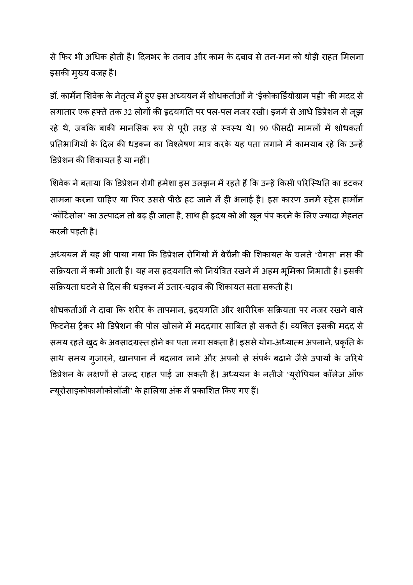से फिर भी अधिक होती है। दिनभर के तनाव और काम के दबाव से तन-मन को थोड़ी राहत मिलना इसकी मुख्य वजह है।

डॉ. कार्मेन शिवेक के नेतृत्व में ह्ए इस अध्ययन में शोधकर्ताओं ने 'ईकोकार्डियोग्राम पट्टी' की मदद से लगातार एक हफ्ते तक 32 लोगों की हृदयगति पर पल-पल नजर रखी। इनमें से आधे डिप्रेशन से जूझ रहे थे, जबकि बाकी मानसिक रूप से पूरी तरह से स्वस्थ थे। 90 फीसदी मामलों में शोधकर्ता प्रतिभागियों के दिल की धड़कन का विश्लेषण मात्र करके यह पता लगाने में कामयाब रहे कि उन्हें डिप्रेशन की शिकायत है या नहीं।

शिवेक ने बताया कि डिप्रेशन रोगी हमेशा इस उलझन में रहते हैं कि उन्हें किसी परिस्थिति का डटकर सामना करना चाहिए या फिर उससे पीछे हट जाने में ही भलाई है। इस कारण उनमें स्ट्रेस हार्मोन 'कॉर्टिसोल' का उत्पादन तो बढ़ ही जाता है, साथ ही हृदय को भी खून पंप करने के लिए ज्यादा मेहनत करनी पड़ती है।

अध्ययन में यह भी पाया गया कि डिप्रेशन रोगियों में बेचैनी की शिकायत के चलते 'वेगस' नस की सक्रियता में कमी आती है। यह नस हृदयगति को नियंत्रित रखने में अहम भूमिका निभाती है। इसकी सक्रियता घटने से दिल की धड़कन में उतार-चढ़ाव की शिकायत सता सकती है।

शोधकर्ताओं ने दावा कि शरीर के तापमान, हृदयगति और शारीरिक सक्रियता पर नजर रखने वाले फिटनेस ट्रैकर भी डिप्रेशन की पोल खोलने में मददगार साबित हो सकते हैं। व्यक्ति इसकी मदद से समय रहते खुद के अवसादग्रस्त होने का पता लगा सकता है। इससे योग-अध्यात्म अपनाने, प्रकृति के साथ समय गुजारने, खानपान में बदलाव लाने और अपनों से संपर्क बढ़ाने जैसे उपायों के जरिये डिप्रेशन के लक्षणों से जल्द राहत पाई जा सकती है। अध्ययन के नतीजे 'यूरोपियन कॉलेज ऑफ न्यूरोसाइकोफार्माकोलॉजी' के हालिया अंक में प्रकाशित किए गए हैं।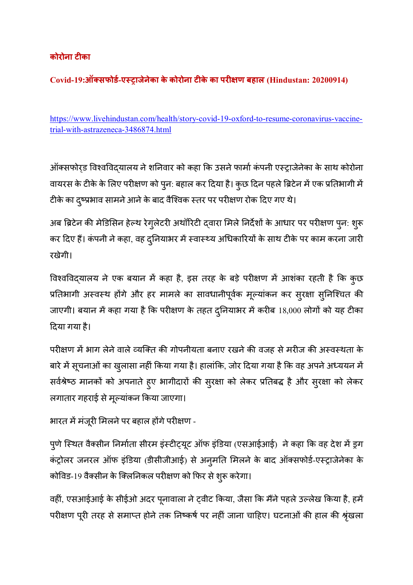## **कोरोना टका**

**Covid-19:ऑ>सफोड?-ए@Aाजेनेका केकोरोना टके का परBण बहाल (Hindustan: 20200914)** 

https://www.livehindustan.com/health/story-covid-19-oxford-to-resume-coronavirus-vaccinetrial-with-astrazeneca-3486874.html

ऑक्सफोर्ड विश्वविदयालय ने शनिवार को कहा कि उसने फार्मा कंपनी एस्ट्राजेनेका के साथ कोरोना वायरस के टीके के लिए परीक्षण को पुन: बहाल कर दिया है। कुछ दिन पहले ब्रिटेन में एक प्रतिभागी में टीके का दृष्प्रभाव सामने आने के बाद वैश्विक स्तर पर परीक्षण रोक दिए गए थे।

अब ब्रिटेन की मेडिसिन हेल्थ रेगुलेटरी अथॉरिटी दवारा मिले निर्देशों के आधार पर परीक्षण पुन: शुरू कर दिए हैं। कंपनी ने कहा, वह दुनियाभर में स्वास्थ्य अधिकारियों के साथ टीके पर काम करना जारी रखेगी।

विश्वविद्यालय ने एक बयान में कहा है, इस तरह के बड़े परीक्षण में आशंका रहती है कि कुछ प्रतिभागी अस्वस्थ होंगे और हर मामले का सावधानीपूर्वक मूल्यांकन कर सुरक्षा सुनिश्चित की जाएगी। बयान में कहा गया है कि परीक्षण के तहत दुनियाभर में करीब 18,000 लोगों को यह टीका 6दया गया है।

परीक्षण में भाग लेने वाले व्यक्ति की गोपनीयता बनाए रखने की वजह से मरीज की अस्वस्थता के बारे में सूचनाओं का खुलासा नहीं किया गया है। हालांकि, जोर दिया गया है कि वह अपने अध्ययन में सर्वश्रेष्ठ मानकों को अपनाते हुए भागीदारों की सुरक्षा को लेकर प्रतिबद्ध है और सुरक्षा को लेकर लगातार गहराई से मूल्यांकन किया जाएगा।

भारत में मंजूरी मिलने पर बहाल होंगे परीक्षण -

पुणे स्थित वैक्सीन निर्माता सीरम इंस्टीट्यूट ऑफ इंडिया (एसआईआई) ने कहा कि वह देश में ड्रग कंट्रोलर जनरल ऑफ इंडिया (डीसीजीआई) से अनुमति मिलने के बाद ऑक्सफोर्ड-एस्ट्राजेनेका के कोविड-19 वैक्सीन के क्लिनिकल परीक्षण को फिर से शुरू करेगा।

वहीं, एसआईआई के सीईओ अदर पूनावाला ने ट्वीट किया, जैसा कि मैंने पहले उल्लेख किया है, हमें परीक्षण पूरी तरह से समाप्त होने तक निष्कर्ष पर नहीं जाना चाहिए। घटनाओं की हाल की श्रृंखला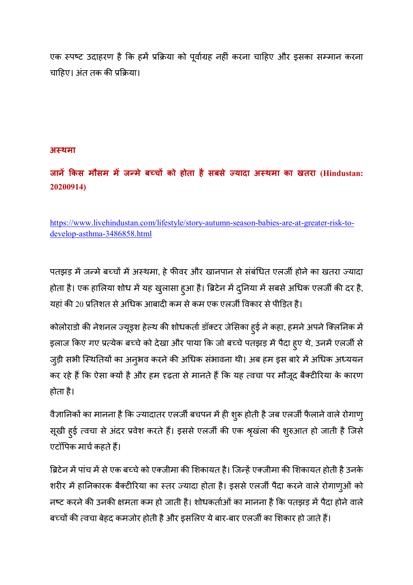एक स्पष्ट उदाहरण है कि हमें प्रक्रिया को पूर्वाग्रह नहीं करना चाहिए और इसका सम्मान करना चाहिए। अंत तक की प्रक्रिया।

#### **अ@थमा**

**जान Fकस मौसम म जHमे बIचJ को होता हैसबसे Kयादा अ@थमा का खतरा (Hindustan: 20200914)** 

https://www.livehindustan.com/lifestyle/story-autumn-season-babies-are-at-greater-risk-todevelop-asthma-3486858.html

पतझड़ में जन्मे बच्चों में अस्थमा, हे फीवर और खानपान से संबंधित एलजी होने का खतरा ज्यादा होता है। एक हालिया शोध में यह खुलासा हुआ है। ब्रिटेन में दुनिया में सबसे अधिक एलर्जी की दर है, यहां की 20 प्रतिशत से अधिक आबादी कम से कम एक एलर्जी विकार से पीड़ित है।

कोलोराडो की नेशनल ज्यूइश हेल्थ की शोधकर्ता डॉक्टर जेसिका हुई ने कहा, हमने अपने क्लिनिक में इलाज किए गए प्रत्येक बच्चे को देखा और पाया कि जो बच्चे पतझड़ में पैदा हुए थे, उनमें एलर्जी से जुड़ी सभी स्थितियों का अनुभव करने की अधिक संभावना थी। अब हम इस बारे में अधिक अध्ययन कर रहे हैं कि ऐसा क्यों है और हम दृढ़ता से मानते हैं कि यह त्वचा पर मौजूद बैक्टीरिया के कारण होता है।

वैज्ञानिकों का मानना है कि ज्यादातर एलर्जी बचपन में ही शुरू होती है जब एलर्जी फैलाने वाले रोगाण् सूखी हुई त्वचा से अंदर प्रवेश करते हैं। इससे एलजी की एक श्रृखंला की शुरुआत हो जाती है जिसे एटॉपिक मार्च कहते हैं।

ब्रिटेन में पांच में से एक बच्चे को एकजीमा की शिकायत है। जिन्हें एकजीमा की शिकायत होती है उनके शरीर में हानिकारक बैक्टीरिया का स्तर ज्यादा होता है। इससे एलर्जी पैदा करने वाले रोगाणुओं को नष्ट करने की उनकी क्षमता कम हो जाती है। शोधकर्ताओं का मानना है कि पतझड़ में पैदा होने वाले बच्चों की त्वचा बेहद कमजोर होती है और इसलिए ये बार-बार एलजी का शिकार हो जाते हैं।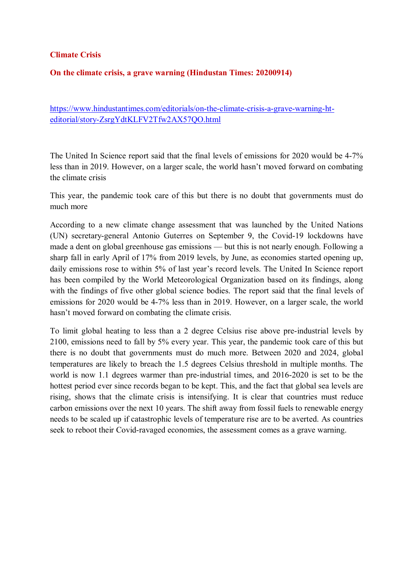#### **Climate Crisis**

#### **On the climate crisis, a grave warning (Hindustan Times: 20200914)**

https://www.hindustantimes.com/editorials/on-the-climate-crisis-a-grave-warning-hteditorial/story-ZsrgYdtKLFV2Tfw2AX57QO.html

The United In Science report said that the final levels of emissions for 2020 would be 4-7% less than in 2019. However, on a larger scale, the world hasn't moved forward on combating the climate crisis

This year, the pandemic took care of this but there is no doubt that governments must do much more

According to a new climate change assessment that was launched by the United Nations (UN) secretary-general Antonio Guterres on September 9, the Covid-19 lockdowns have made a dent on global greenhouse gas emissions — but this is not nearly enough. Following a sharp fall in early April of 17% from 2019 levels, by June, as economies started opening up, daily emissions rose to within 5% of last year's record levels. The United In Science report has been compiled by the World Meteorological Organization based on its findings, along with the findings of five other global science bodies. The report said that the final levels of emissions for 2020 would be 4-7% less than in 2019. However, on a larger scale, the world hasn't moved forward on combating the climate crisis.

To limit global heating to less than a 2 degree Celsius rise above pre-industrial levels by 2100, emissions need to fall by 5% every year. This year, the pandemic took care of this but there is no doubt that governments must do much more. Between 2020 and 2024, global temperatures are likely to breach the 1.5 degrees Celsius threshold in multiple months. The world is now 1.1 degrees warmer than pre-industrial times, and 2016-2020 is set to be the hottest period ever since records began to be kept. This, and the fact that global sea levels are rising, shows that the climate crisis is intensifying. It is clear that countries must reduce carbon emissions over the next 10 years. The shift away from fossil fuels to renewable energy needs to be scaled up if catastrophic levels of temperature rise are to be averted. As countries seek to reboot their Covid-ravaged economies, the assessment comes as a grave warning.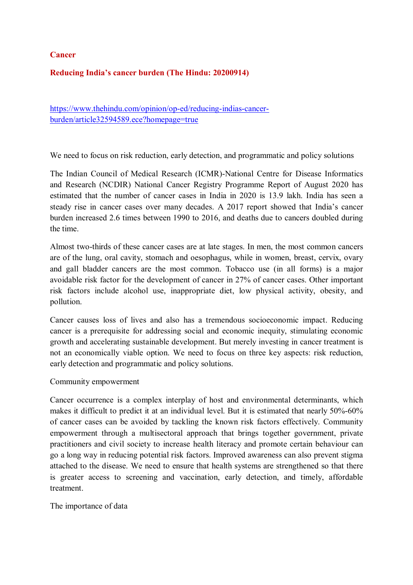**Cancer** 

#### **Reducing India's cancer burden (The Hindu: 20200914)**

https://www.thehindu.com/opinion/op-ed/reducing-indias-cancerburden/article32594589.ece?homepage=true

We need to focus on risk reduction, early detection, and programmatic and policy solutions

The Indian Council of Medical Research (ICMR)-National Centre for Disease Informatics and Research (NCDIR) National Cancer Registry Programme Report of August 2020 has estimated that the number of cancer cases in India in 2020 is 13.9 lakh. India has seen a steady rise in cancer cases over many decades. A 2017 report showed that India's cancer burden increased 2.6 times between 1990 to 2016, and deaths due to cancers doubled during the time.

Almost two-thirds of these cancer cases are at late stages. In men, the most common cancers are of the lung, oral cavity, stomach and oesophagus, while in women, breast, cervix, ovary and gall bladder cancers are the most common. Tobacco use (in all forms) is a major avoidable risk factor for the development of cancer in 27% of cancer cases. Other important risk factors include alcohol use, inappropriate diet, low physical activity, obesity, and pollution.

Cancer causes loss of lives and also has a tremendous socioeconomic impact. Reducing cancer is a prerequisite for addressing social and economic inequity, stimulating economic growth and accelerating sustainable development. But merely investing in cancer treatment is not an economically viable option. We need to focus on three key aspects: risk reduction, early detection and programmatic and policy solutions.

#### Community empowerment

Cancer occurrence is a complex interplay of host and environmental determinants, which makes it difficult to predict it at an individual level. But it is estimated that nearly 50%-60% of cancer cases can be avoided by tackling the known risk factors effectively. Community empowerment through a multisectoral approach that brings together government, private practitioners and civil society to increase health literacy and promote certain behaviour can go a long way in reducing potential risk factors. Improved awareness can also prevent stigma attached to the disease. We need to ensure that health systems are strengthened so that there is greater access to screening and vaccination, early detection, and timely, affordable treatment.

The importance of data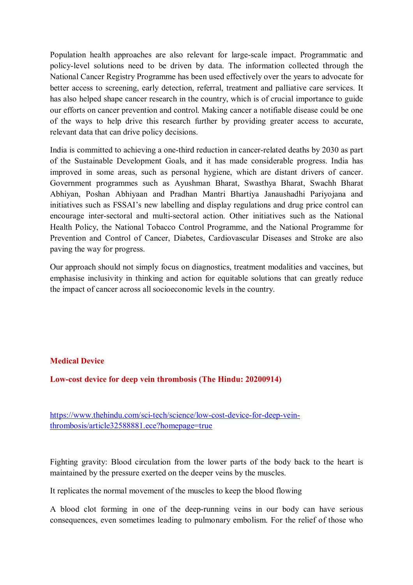Population health approaches are also relevant for large-scale impact. Programmatic and policy-level solutions need to be driven by data. The information collected through the National Cancer Registry Programme has been used effectively over the years to advocate for better access to screening, early detection, referral, treatment and palliative care services. It has also helped shape cancer research in the country, which is of crucial importance to guide our efforts on cancer prevention and control. Making cancer a notifiable disease could be one of the ways to help drive this research further by providing greater access to accurate, relevant data that can drive policy decisions.

India is committed to achieving a one-third reduction in cancer-related deaths by 2030 as part of the Sustainable Development Goals, and it has made considerable progress. India has improved in some areas, such as personal hygiene, which are distant drivers of cancer. Government programmes such as Ayushman Bharat, Swasthya Bharat, Swachh Bharat Abhiyan, Poshan Abhiyaan and Pradhan Mantri Bhartiya Janaushadhi Pariyojana and initiatives such as FSSAI's new labelling and display regulations and drug price control can encourage inter-sectoral and multi-sectoral action. Other initiatives such as the National Health Policy, the National Tobacco Control Programme, and the National Programme for Prevention and Control of Cancer, Diabetes, Cardiovascular Diseases and Stroke are also paving the way for progress.

Our approach should not simply focus on diagnostics, treatment modalities and vaccines, but emphasise inclusivity in thinking and action for equitable solutions that can greatly reduce the impact of cancer across all socioeconomic levels in the country.

#### **Medical Device**

**Low-cost device for deep vein thrombosis (The Hindu: 20200914)** 

https://www.thehindu.com/sci-tech/science/low-cost-device-for-deep-veinthrombosis/article32588881.ece?homepage=true

Fighting gravity: Blood circulation from the lower parts of the body back to the heart is maintained by the pressure exerted on the deeper veins by the muscles.

It replicates the normal movement of the muscles to keep the blood flowing

A blood clot forming in one of the deep-running veins in our body can have serious consequences, even sometimes leading to pulmonary embolism. For the relief of those who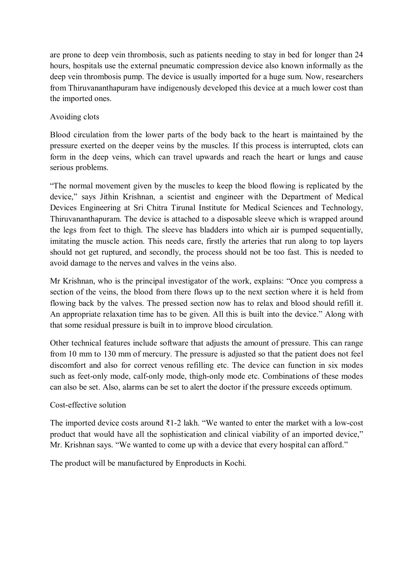are prone to deep vein thrombosis, such as patients needing to stay in bed for longer than 24 hours, hospitals use the external pneumatic compression device also known informally as the deep vein thrombosis pump. The device is usually imported for a huge sum. Now, researchers from Thiruvananthapuram have indigenously developed this device at a much lower cost than the imported ones.

#### Avoiding clots

Blood circulation from the lower parts of the body back to the heart is maintained by the pressure exerted on the deeper veins by the muscles. If this process is interrupted, clots can form in the deep veins, which can travel upwards and reach the heart or lungs and cause serious problems.

"The normal movement given by the muscles to keep the blood flowing is replicated by the device," says Jithin Krishnan, a scientist and engineer with the Department of Medical Devices Engineering at Sri Chitra Tirunal Institute for Medical Sciences and Technology, Thiruvananthapuram. The device is attached to a disposable sleeve which is wrapped around the legs from feet to thigh. The sleeve has bladders into which air is pumped sequentially, imitating the muscle action. This needs care, firstly the arteries that run along to top layers should not get ruptured, and secondly, the process should not be too fast. This is needed to avoid damage to the nerves and valves in the veins also.

Mr Krishnan, who is the principal investigator of the work, explains: "Once you compress a section of the veins, the blood from there flows up to the next section where it is held from flowing back by the valves. The pressed section now has to relax and blood should refill it. An appropriate relaxation time has to be given. All this is built into the device." Along with that some residual pressure is built in to improve blood circulation.

Other technical features include software that adjusts the amount of pressure. This can range from 10 mm to 130 mm of mercury. The pressure is adjusted so that the patient does not feel discomfort and also for correct venous refilling etc. The device can function in six modes such as feet-only mode, calf-only mode, thigh-only mode etc. Combinations of these modes can also be set. Also, alarms can be set to alert the doctor if the pressure exceeds optimum.

#### Cost-effective solution

The imported device costs around  $\bar{\tau}$ 1-2 lakh. "We wanted to enter the market with a low-cost product that would have all the sophistication and clinical viability of an imported device," Mr. Krishnan says. "We wanted to come up with a device that every hospital can afford."

The product will be manufactured by Enproducts in Kochi.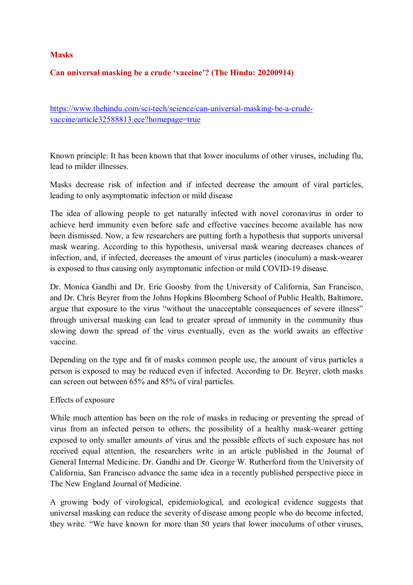#### **Masks**

#### **Can universal masking be a crude 'vaccine'? (The Hindu: 20200914)**

https://www.thehindu.com/sci-tech/science/can-universal-masking-be-a-crudevaccine/article32588813.ece?homepage=true

Known principle: It has been known that that lower inoculums of other viruses, including flu, lead to milder illnesses.

Masks decrease risk of infection and if infected decrease the amount of viral particles, leading to only asymptomatic infection or mild disease

The idea of allowing people to get naturally infected with novel coronavirus in order to achieve herd immunity even before safe and effective vaccines become available has now been dismissed. Now, a few researchers are putting forth a hypothesis that supports universal mask wearing. According to this hypothesis, universal mask wearing decreases chances of infection, and, if infected, decreases the amount of virus particles (inoculum) a mask-wearer is exposed to thus causing only asymptomatic infection or mild COVID-19 disease.

Dr. Monica Gandhi and Dr. Eric Goosby from the University of California, San Francisco, and Dr. Chris Beyrer from the Johns Hopkins Bloomberg School of Public Health, Baltimore, argue that exposure to the virus "without the unacceptable consequences of severe illness" through universal masking can lead to greater spread of immunity in the community thus slowing down the spread of the virus eventually, even as the world awaits an effective vaccine.

Depending on the type and fit of masks common people use, the amount of virus particles a person is exposed to may be reduced even if infected. According to Dr. Beyrer, cloth masks can screen out between 65% and 85% of viral particles.

#### Effects of exposure

While much attention has been on the role of masks in reducing or preventing the spread of virus from an infected person to others, the possibility of a healthy mask-wearer getting exposed to only smaller amounts of virus and the possible effects of such exposure has not received equal attention, the researchers write in an article published in the Journal of General Internal Medicine. Dr. Gandhi and Dr. George W. Rutherford from the University of California, San Francisco advance the same idea in a recently published perspective piece in The New England Journal of Medicine.

A growing body of virological, epidemiological, and ecological evidence suggests that universal masking can reduce the severity of disease among people who do become infected, they write. "We have known for more than 50 years that lower inoculums of other viruses,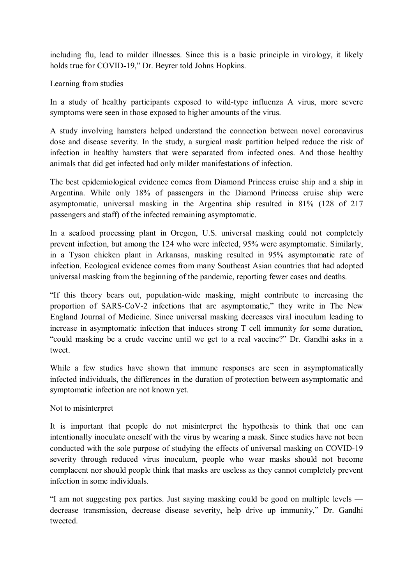including flu, lead to milder illnesses. Since this is a basic principle in virology, it likely holds true for COVID-19," Dr. Beyrer told Johns Hopkins.

#### Learning from studies

In a study of healthy participants exposed to wild-type influenza A virus, more severe symptoms were seen in those exposed to higher amounts of the virus.

A study involving hamsters helped understand the connection between novel coronavirus dose and disease severity. In the study, a surgical mask partition helped reduce the risk of infection in healthy hamsters that were separated from infected ones. And those healthy animals that did get infected had only milder manifestations of infection.

The best epidemiological evidence comes from Diamond Princess cruise ship and a ship in Argentina. While only 18% of passengers in the Diamond Princess cruise ship were asymptomatic, universal masking in the Argentina ship resulted in 81% (128 of 217 passengers and staff) of the infected remaining asymptomatic.

In a seafood processing plant in Oregon, U.S. universal masking could not completely prevent infection, but among the 124 who were infected, 95% were asymptomatic. Similarly, in a Tyson chicken plant in Arkansas, masking resulted in 95% asymptomatic rate of infection. Ecological evidence comes from many Southeast Asian countries that had adopted universal masking from the beginning of the pandemic, reporting fewer cases and deaths.

"If this theory bears out, population-wide masking, might contribute to increasing the proportion of SARS-CoV-2 infections that are asymptomatic," they write in The New England Journal of Medicine. Since universal masking decreases viral inoculum leading to increase in asymptomatic infection that induces strong T cell immunity for some duration, "could masking be a crude vaccine until we get to a real vaccine?" Dr. Gandhi asks in a tweet.

While a few studies have shown that immune responses are seen in asymptomatically infected individuals, the differences in the duration of protection between asymptomatic and symptomatic infection are not known yet.

#### Not to misinterpret

It is important that people do not misinterpret the hypothesis to think that one can intentionally inoculate oneself with the virus by wearing a mask. Since studies have not been conducted with the sole purpose of studying the effects of universal masking on COVID-19 severity through reduced virus inoculum, people who wear masks should not become complacent nor should people think that masks are useless as they cannot completely prevent infection in some individuals.

"I am not suggesting pox parties. Just saying masking could be good on multiple levels decrease transmission, decrease disease severity, help drive up immunity," Dr. Gandhi tweeted.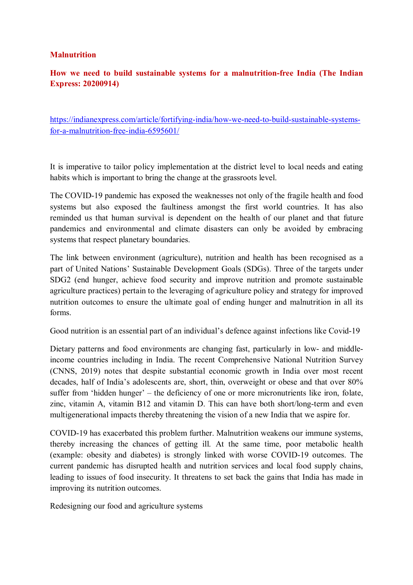#### **Malnutrition**

### **How we need to build sustainable systems for a malnutrition-free India (The Indian Express: 20200914)**

https://indianexpress.com/article/fortifying-india/how-we-need-to-build-sustainable-systemsfor-a-malnutrition-free-india-6595601/

It is imperative to tailor policy implementation at the district level to local needs and eating habits which is important to bring the change at the grassroots level.

The COVID-19 pandemic has exposed the weaknesses not only of the fragile health and food systems but also exposed the faultiness amongst the first world countries. It has also reminded us that human survival is dependent on the health of our planet and that future pandemics and environmental and climate disasters can only be avoided by embracing systems that respect planetary boundaries.

The link between environment (agriculture), nutrition and health has been recognised as a part of United Nations' Sustainable Development Goals (SDGs). Three of the targets under SDG2 (end hunger, achieve food security and improve nutrition and promote sustainable agriculture practices) pertain to the leveraging of agriculture policy and strategy for improved nutrition outcomes to ensure the ultimate goal of ending hunger and malnutrition in all its forms.

Good nutrition is an essential part of an individual's defence against infections like Covid-19

Dietary patterns and food environments are changing fast, particularly in low- and middleincome countries including in India. The recent Comprehensive National Nutrition Survey (CNNS, 2019) notes that despite substantial economic growth in India over most recent decades, half of India's adolescents are, short, thin, overweight or obese and that over 80% suffer from 'hidden hunger' – the deficiency of one or more micronutrients like iron, folate, zinc, vitamin A, vitamin B12 and vitamin D. This can have both short/long-term and even multigenerational impacts thereby threatening the vision of a new India that we aspire for.

COVID-19 has exacerbated this problem further. Malnutrition weakens our immune systems, thereby increasing the chances of getting ill. At the same time, poor metabolic health (example: obesity and diabetes) is strongly linked with worse COVID-19 outcomes. The current pandemic has disrupted health and nutrition services and local food supply chains, leading to issues of food insecurity. It threatens to set back the gains that India has made in improving its nutrition outcomes.

Redesigning our food and agriculture systems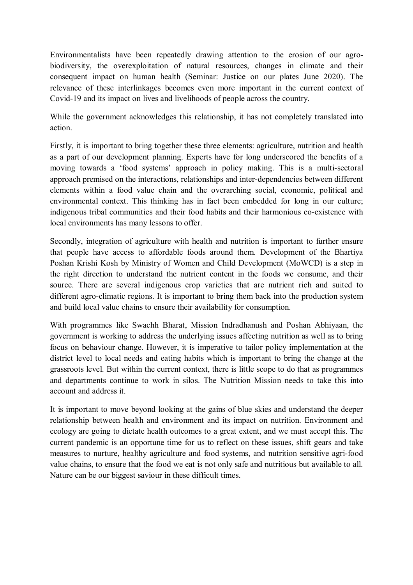Environmentalists have been repeatedly drawing attention to the erosion of our agrobiodiversity, the overexploitation of natural resources, changes in climate and their consequent impact on human health (Seminar: Justice on our plates June 2020). The relevance of these interlinkages becomes even more important in the current context of Covid-19 and its impact on lives and livelihoods of people across the country.

While the government acknowledges this relationship, it has not completely translated into action.

Firstly, it is important to bring together these three elements: agriculture, nutrition and health as a part of our development planning. Experts have for long underscored the benefits of a moving towards a 'food systems' approach in policy making. This is a multi-sectoral approach premised on the interactions, relationships and inter-dependencies between different elements within a food value chain and the overarching social, economic, political and environmental context. This thinking has in fact been embedded for long in our culture; indigenous tribal communities and their food habits and their harmonious co-existence with local environments has many lessons to offer.

Secondly, integration of agriculture with health and nutrition is important to further ensure that people have access to affordable foods around them. Development of the Bhartiya Poshan Krishi Kosh by Ministry of Women and Child Development (MoWCD) is a step in the right direction to understand the nutrient content in the foods we consume, and their source. There are several indigenous crop varieties that are nutrient rich and suited to different agro-climatic regions. It is important to bring them back into the production system and build local value chains to ensure their availability for consumption.

With programmes like Swachh Bharat, Mission Indradhanush and Poshan Abhiyaan, the government is working to address the underlying issues affecting nutrition as well as to bring focus on behaviour change. However, it is imperative to tailor policy implementation at the district level to local needs and eating habits which is important to bring the change at the grassroots level. But within the current context, there is little scope to do that as programmes and departments continue to work in silos. The Nutrition Mission needs to take this into account and address it.

It is important to move beyond looking at the gains of blue skies and understand the deeper relationship between health and environment and its impact on nutrition. Environment and ecology are going to dictate health outcomes to a great extent, and we must accept this. The current pandemic is an opportune time for us to reflect on these issues, shift gears and take measures to nurture, healthy agriculture and food systems, and nutrition sensitive agri-food value chains, to ensure that the food we eat is not only safe and nutritious but available to all. Nature can be our biggest saviour in these difficult times.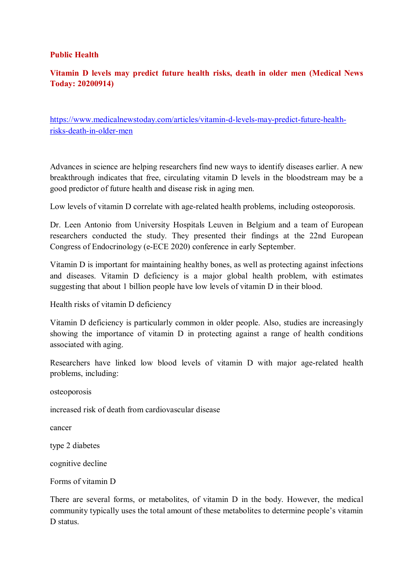#### **Public Health**

### **Vitamin D levels may predict future health risks, death in older men (Medical News Today: 20200914)**

https://www.medicalnewstoday.com/articles/vitamin-d-levels-may-predict-future-healthrisks-death-in-older-men

Advances in science are helping researchers find new ways to identify diseases earlier. A new breakthrough indicates that free, circulating vitamin D levels in the bloodstream may be a good predictor of future health and disease risk in aging men.

Low levels of vitamin D correlate with age-related health problems, including osteoporosis.

Dr. Leen Antonio from University Hospitals Leuven in Belgium and a team of European researchers conducted the study. They presented their findings at the 22nd European Congress of Endocrinology (e-ECE 2020) conference in early September.

Vitamin D is important for maintaining healthy bones, as well as protecting against infections and diseases. Vitamin D deficiency is a major global health problem, with estimates suggesting that about 1 billion people have low levels of vitamin D in their blood.

Health risks of vitamin D deficiency

Vitamin D deficiency is particularly common in older people. Also, studies are increasingly showing the importance of vitamin D in protecting against a range of health conditions associated with aging.

Researchers have linked low blood levels of vitamin D with major age-related health problems, including:

osteoporosis

increased risk of death from cardiovascular disease

cancer

type 2 diabetes

cognitive decline

Forms of vitamin D

There are several forms, or metabolites, of vitamin D in the body. However, the medical community typically uses the total amount of these metabolites to determine people's vitamin D status.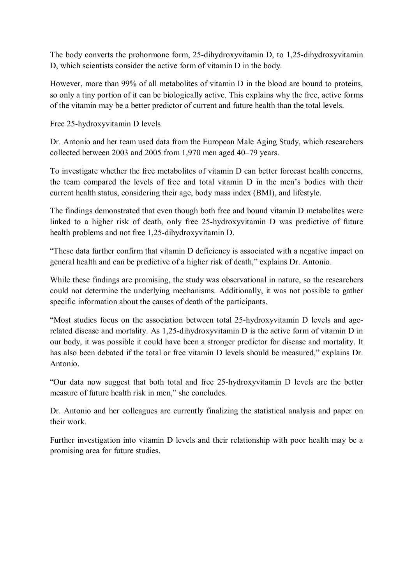The body converts the prohormone form, 25-dihydroxyvitamin D, to 1,25-dihydroxyvitamin D, which scientists consider the active form of vitamin D in the body.

However, more than 99% of all metabolites of vitamin D in the blood are bound to proteins, so only a tiny portion of it can be biologically active. This explains why the free, active forms of the vitamin may be a better predictor of current and future health than the total levels.

Free 25-hydroxyvitamin D levels

Dr. Antonio and her team used data from the European Male Aging Study, which researchers collected between 2003 and 2005 from 1,970 men aged 40–79 years.

To investigate whether the free metabolites of vitamin D can better forecast health concerns, the team compared the levels of free and total vitamin D in the men's bodies with their current health status, considering their age, body mass index (BMI), and lifestyle.

The findings demonstrated that even though both free and bound vitamin D metabolites were linked to a higher risk of death, only free 25-hydroxyvitamin D was predictive of future health problems and not free 1,25-dihydroxyvitamin D.

"These data further confirm that vitamin D deficiency is associated with a negative impact on general health and can be predictive of a higher risk of death," explains Dr. Antonio.

While these findings are promising, the study was observational in nature, so the researchers could not determine the underlying mechanisms. Additionally, it was not possible to gather specific information about the causes of death of the participants.

"Most studies focus on the association between total 25-hydroxyvitamin D levels and agerelated disease and mortality. As 1,25-dihydroxyvitamin D is the active form of vitamin D in our body, it was possible it could have been a stronger predictor for disease and mortality. It has also been debated if the total or free vitamin D levels should be measured," explains Dr. Antonio.

"Our data now suggest that both total and free 25-hydroxyvitamin D levels are the better measure of future health risk in men," she concludes.

Dr. Antonio and her colleagues are currently finalizing the statistical analysis and paper on their work.

Further investigation into vitamin D levels and their relationship with poor health may be a promising area for future studies.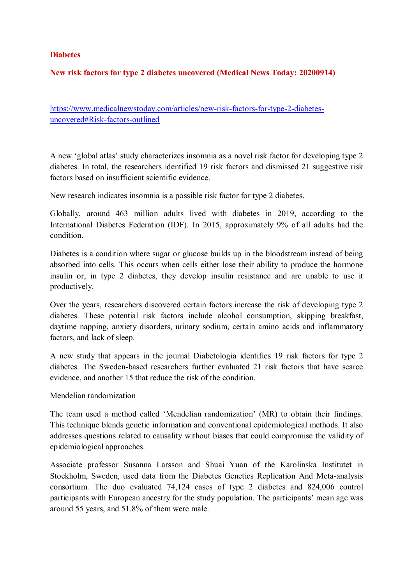#### **Diabetes**

#### **New risk factors for type 2 diabetes uncovered (Medical News Today: 20200914)**

https://www.medicalnewstoday.com/articles/new-risk-factors-for-type-2-diabetesuncovered#Risk-factors-outlined

A new 'global atlas' study characterizes insomnia as a novel risk factor for developing type 2 diabetes. In total, the researchers identified 19 risk factors and dismissed 21 suggestive risk factors based on insufficient scientific evidence.

New research indicates insomnia is a possible risk factor for type 2 diabetes.

Globally, around 463 million adults lived with diabetes in 2019, according to the International Diabetes Federation (IDF). In 2015, approximately 9% of all adults had the condition.

Diabetes is a condition where sugar or glucose builds up in the bloodstream instead of being absorbed into cells. This occurs when cells either lose their ability to produce the hormone insulin or, in type 2 diabetes, they develop insulin resistance and are unable to use it productively.

Over the years, researchers discovered certain factors increase the risk of developing type 2 diabetes. These potential risk factors include alcohol consumption, skipping breakfast, daytime napping, anxiety disorders, urinary sodium, certain amino acids and inflammatory factors, and lack of sleep.

A new study that appears in the journal Diabetologia identifies 19 risk factors for type 2 diabetes. The Sweden-based researchers further evaluated 21 risk factors that have scarce evidence, and another 15 that reduce the risk of the condition.

Mendelian randomization

The team used a method called 'Mendelian randomization' (MR) to obtain their findings. This technique blends genetic information and conventional epidemiological methods. It also addresses questions related to causality without biases that could compromise the validity of epidemiological approaches.

Associate professor Susanna Larsson and Shuai Yuan of the Karolinska Institutet in Stockholm, Sweden, used data from the Diabetes Genetics Replication And Meta-analysis consortium. The duo evaluated 74,124 cases of type 2 diabetes and 824,006 control participants with European ancestry for the study population. The participants' mean age was around 55 years, and 51.8% of them were male.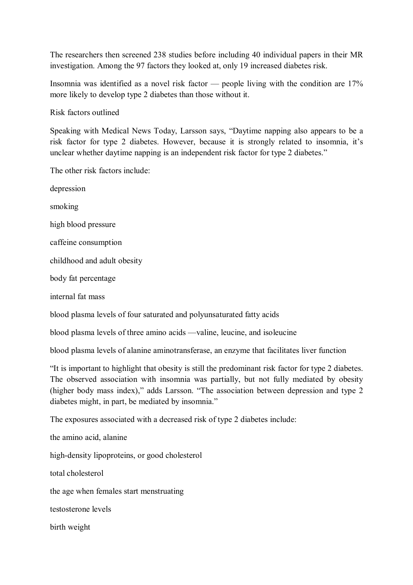The researchers then screened 238 studies before including 40 individual papers in their MR investigation. Among the 97 factors they looked at, only 19 increased diabetes risk.

Insomnia was identified as a novel risk factor — people living with the condition are 17% more likely to develop type 2 diabetes than those without it.

Risk factors outlined

Speaking with Medical News Today, Larsson says, "Daytime napping also appears to be a risk factor for type 2 diabetes. However, because it is strongly related to insomnia, it's unclear whether daytime napping is an independent risk factor for type 2 diabetes."

The other risk factors include:

depression

smoking

high blood pressure

caffeine consumption

childhood and adult obesity

body fat percentage

internal fat mass

blood plasma levels of four saturated and polyunsaturated fatty acids

blood plasma levels of three amino acids —valine, leucine, and isoleucine

blood plasma levels of alanine aminotransferase, an enzyme that facilitates liver function

"It is important to highlight that obesity is still the predominant risk factor for type 2 diabetes. The observed association with insomnia was partially, but not fully mediated by obesity (higher body mass index)," adds Larsson. "The association between depression and type 2 diabetes might, in part, be mediated by insomnia."

The exposures associated with a decreased risk of type 2 diabetes include:

the amino acid, alanine

high-density lipoproteins, or good cholesterol

total cholesterol

the age when females start menstruating

testosterone levels

birth weight